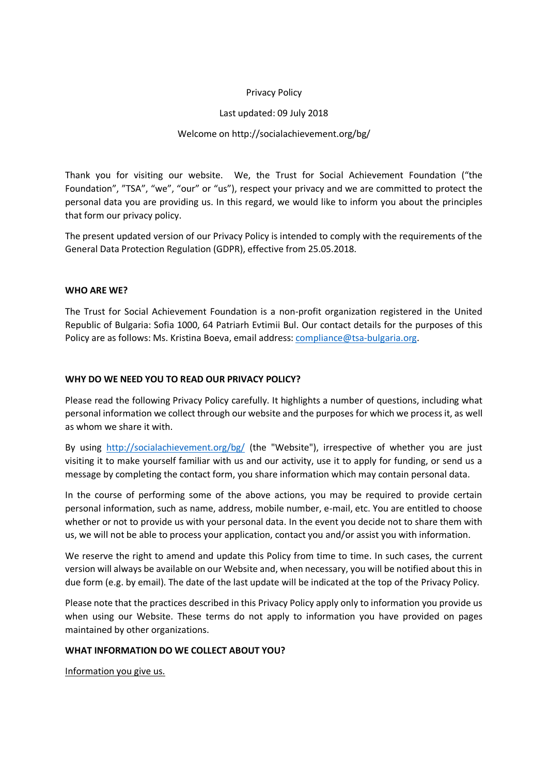### Privacy Policy

### Last updated: 09 July 2018

### Welcome on http://socialachievement.org/bg/

Thank you for visiting our website. We, the Trust for Social Achievement Foundation ("the Foundation", "TSA", "we", "our" or "us"), respect your privacy and we are committed to protect the personal data you are providing us. In this regard, we would like to inform you about the principles that form our privacy policy.

The present updated version of our Privacy Policy is intended to comply with the requirements of the General Data Protection Regulation (GDPR), effective from 25.05.2018.

#### **WHO ARE WE?**

The Trust for Social Achievement Foundation is a non-profit organization registered in the United Republic of Bulgaria: Sofia 1000, 64 Patriarh Evtimii Bul. Our contact details for the purposes of this Policy are as follows: Ms. Kristina Boeva, email address: [compliance@tsa-bulgaria.org.](mailto:compliance@tsa-bulgaria.org)

#### **WHY DO WE NEED YOU TO READ OUR PRIVACY POLICY?**

Please read the following Privacy Policy carefully. It highlights a number of questions, including what personal information we collect through our website and the purposes for which we process it, as well as whom we share it with.

By using<http://socialachievement.org/bg/> (the "Website"), irrespective of whether you are just visiting it to make yourself familiar with us and our activity, use it to apply for funding, or send us a message by completing the contact form, you share information which may contain personal data.

In the course of performing some of the above actions, you may be required to provide certain personal information, such as name, address, mobile number, e-mail, etc. You are entitled to choose whether or not to provide us with your personal data. In the event you decide not to share them with us, we will not be able to process your application, contact you and/or assist you with information.

We reserve the right to amend and update this Policy from time to time. In such cases, the current version will always be available on our Website and, when necessary, you will be notified about this in due form (e.g. by email). The date of the last update will be indicated at the top of the Privacy Policy.

Please note that the practices described in this Privacy Policy apply only to information you provide us when using our Website. These terms do not apply to information you have provided on pages maintained by other organizations.

#### **WHAT INFORMATION DO WE COLLECT ABOUT YOU?**

Information you give us.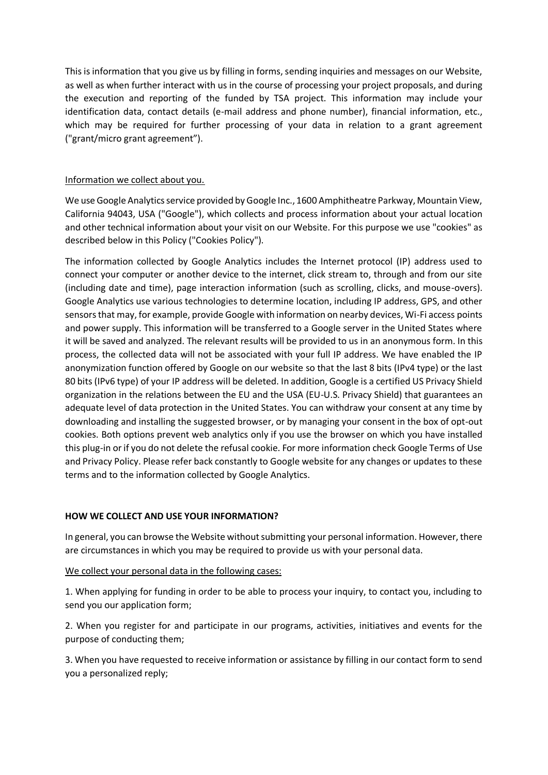This is information that you give us by filling in forms, sending inquiries and messages on our Website, as well as when further interact with us in the course of processing your project proposals, and during the execution and reporting of the funded by TSA project. This information may include your identification data, contact details (e-mail address and phone number), financial information, etc., which may be required for further processing of your data in relation to a grant agreement ("grant/micro grant agreement").

# Information we collect about you.

We use Google Analytics service provided by Google Inc., 1600 Amphitheatre Parkway, Mountain View, California 94043, USA ("Google"), which collects and process information about your actual location and other technical information about your visit on our Website. For this purpose we use "cookies" as described below in this Policy ("Cookies Policy").

The information collected by Google Analytics includes the Internet protocol (IP) address used to connect your computer or another device to the internet, click stream to, through and from our site (including date and time), page interaction information (such as scrolling, clicks, and mouse-overs). Google Analytics use various technologies to determine location, including IP address, GPS, and other sensors that may, for example, provide Google with information on nearby devices, Wi-Fi access points and power supply. This information will be transferred to a Google server in the United States where it will be saved and analyzed. The relevant results will be provided to us in an anonymous form. In this process, the collected data will not be associated with your full IP address. We have enabled the IP anonymization function offered by Google on our website so that the last 8 bits (IPv4 type) or the last 80 bits (IPv6 type) of your IP address will be deleted. In addition, Google is a certified US Privacy Shield organization in the relations between the EU and the USA (EU-U.S. Privacy Shield) that guarantees an adequate level of data protection in the United States. You can withdraw your consent at any time by downloading and installing the suggested browser, or by managing your consent in the box of opt-out cookies. Both options prevent web analytics only if you use the browser on which you have installed this plug-in or if you do not delete the refusal cookie. For more information check Google Terms of Use and Privacy Policy. Please refer back constantly to Google website for any changes or updates to these terms and to the information collected by Google Analytics.

### **HOW WE COLLECT AND USE YOUR INFORMATION?**

In general, you can browse the Website without submitting your personal information. However, there are circumstances in which you may be required to provide us with your personal data.

### We collect your personal data in the following cases:

1. When applying for funding in order to be able to process your inquiry, to contact you, including to send you our application form;

2. When you register for and participate in our programs, activities, initiatives and events for the purpose of conducting them;

3. When you have requested to receive information or assistance by filling in our contact form to send you a personalized reply;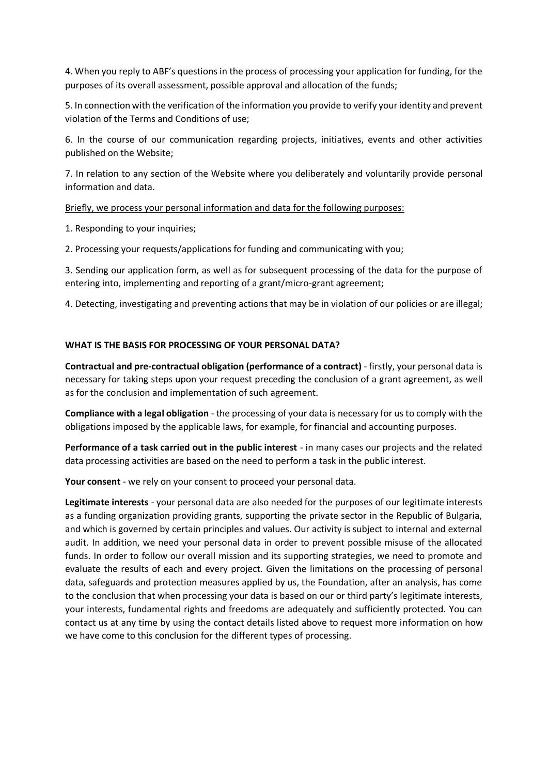4. When you reply to ABF's questions in the process of processing your application for funding, for the purposes of its overall assessment, possible approval and allocation of the funds;

5. In connection with the verification of the information you provide to verify your identity and prevent violation of the Terms and Conditions of use;

6. In the course of our communication regarding projects, initiatives, events and other activities published on the Website;

7. In relation to any section of the Website where you deliberately and voluntarily provide personal information and data.

Briefly, we process your personal information and data for the following purposes:

1. Responding to your inquiries;

2. Processing your requests/applications for funding and communicating with you;

3. Sending our application form, as well as for subsequent processing of the data for the purpose of entering into, implementing and reporting of a grant/micro-grant agreement;

4. Detecting, investigating and preventing actions that may be in violation of our policies or are illegal;

### **WHAT IS THE BASIS FOR PROCESSING OF YOUR PERSONAL DATA?**

**Contractual and pre-contractual obligation (performance of a contract)** - firstly, your personal data is necessary for taking steps upon your request preceding the conclusion of a grant agreement, as well as for the conclusion and implementation of such agreement.

**Compliance with a legal obligation** - the processing of your data is necessary for us to comply with the obligations imposed by the applicable laws, for example, for financial and accounting purposes.

**Performance of a task carried out in the public interest** - in many cases our projects and the related data processing activities are based on the need to perform a task in the public interest.

**Your consent** - we rely on your consent to proceed your personal data.

**Legitimate interests** - your personal data are also needed for the purposes of our legitimate interests as a funding organization providing grants, supporting the private sector in the Republic of Bulgaria, and which is governed by certain principles and values. Our activity is subject to internal and external audit. In addition, we need your personal data in order to prevent possible misuse of the allocated funds. In order to follow our overall mission and its supporting strategies, we need to promote and evaluate the results of each and every project. Given the limitations on the processing of personal data, safeguards and protection measures applied by us, the Foundation, after an analysis, has come to the conclusion that when processing your data is based on our or third party's legitimate interests, your interests, fundamental rights and freedoms are adequately and sufficiently protected. You can contact us at any time by using the contact details listed above to request more information on how we have come to this conclusion for the different types of processing.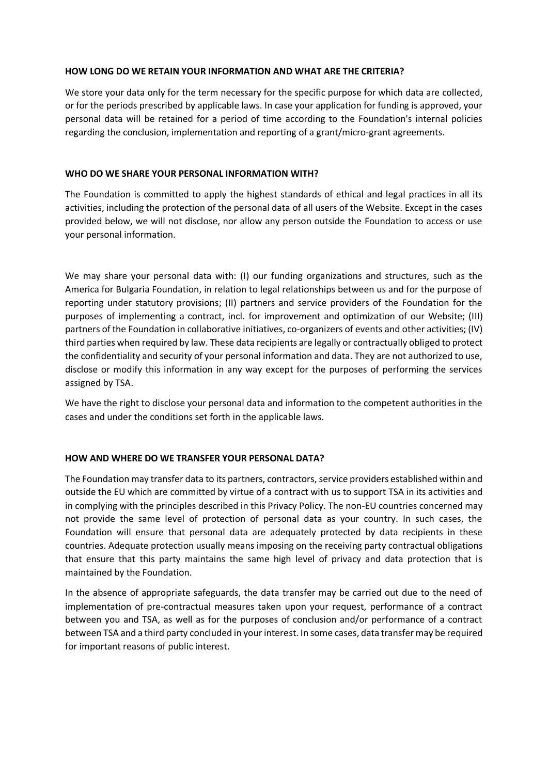### **HOW LONG DO WE RETAIN YOUR INFORMATION AND WHAT ARE THE CRITERIA?**

We store your data only for the term necessary for the specific purpose for which data are collected, or for the periods prescribed by applicable laws. In case your application for funding is approved, your personal data will be retained for a period of time according to the Foundation's internal policies regarding the conclusion, implementation and reporting of a grant/micro-grant agreements.

## **WHO DO WE SHARE YOUR PERSONAL INFORMATION WITH?**

The Foundation is committed to apply the highest standards of ethical and legal practices in all its activities, including the protection of the personal data of all users of the Website. Except in the cases provided below, we will not disclose, nor allow any person outside the Foundation to access or use your personal information.

We may share your personal data with: (I) our funding organizations and structures, such as the America for Bulgaria Foundation, in relation to legal relationships between us and for the purpose of reporting under statutory provisions; (II) partners and service providers of the Foundation for the purposes of implementing a contract, incl. for improvement and optimization of our Website; (III) partners of the Foundation in collaborative initiatives, co-organizers of events and other activities; (IV) third parties when required by law. These data recipients are legally or contractually obliged to protect the confidentiality and security of your personal information and data. They are not authorized to use, disclose or modify this information in any way except for the purposes of performing the services assigned by TSA.

We have the right to disclose your personal data and information to the competent authorities in the cases and under the conditions set forth in the applicable laws.

# **HOW AND WHERE DO WE TRANSFER YOUR PERSONAL DATA?**

The Foundation may transfer data to its partners, contractors, service providers established within and outside the EU which are committed by virtue of a contract with us to support TSA in its activities and in complying with the principles described in this Privacy Policy. The non-EU countries concerned may not provide the same level of protection of personal data as your country. In such cases, the Foundation will ensure that personal data are adequately protected by data recipients in these countries. Adequate protection usually means imposing on the receiving party contractual obligations that ensure that this party maintains the same high level of privacy and data protection that is maintained by the Foundation.

In the absence of appropriate safeguards, the data transfer may be carried out due to the need of implementation of pre-contractual measures taken upon your request, performance of a contract between you and TSA, as well as for the purposes of conclusion and/or performance of a contract between TSA and a third party concluded in your interest. In some cases, data transfer may be required for important reasons of public interest.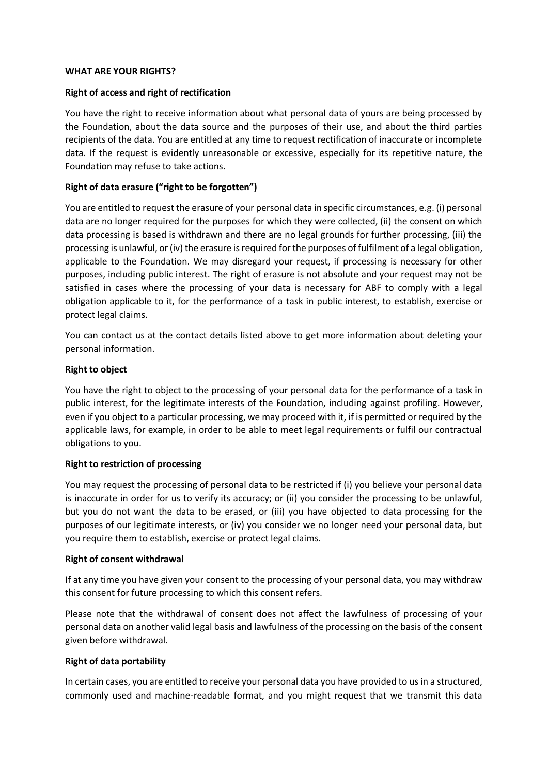## **WHAT ARE YOUR RIGHTS?**

## **Right of access and right of rectification**

You have the right to receive information about what personal data of yours are being processed by the Foundation, about the data source and the purposes of their use, and about the third parties recipients of the data. You are entitled at any time to request rectification of inaccurate or incomplete data. If the request is evidently unreasonable or excessive, especially for its repetitive nature, the Foundation may refuse to take actions.

# **Right of data erasure ("right to be forgotten")**

You are entitled to request the erasure of your personal data in specific circumstances, e.g. (i) personal data are no longer required for the purposes for which they were collected, (ii) the consent on which data processing is based is withdrawn and there are no legal grounds for further processing, (iii) the processing is unlawful, or (iv) the erasure is required for the purposes of fulfilment of a legal obligation, applicable to the Foundation. We may disregard your request, if processing is necessary for other purposes, including public interest. The right of erasure is not absolute and your request may not be satisfied in cases where the processing of your data is necessary for ABF to comply with a legal obligation applicable to it, for the performance of a task in public interest, to establish, exercise or protect legal claims.

You can contact us at the contact details listed above to get more information about deleting your personal information.

### **Right to object**

You have the right to object to the processing of your personal data for the performance of a task in public interest, for the legitimate interests of the Foundation, including against profiling. However, even if you object to a particular processing, we may proceed with it, if is permitted or required by the applicable laws, for example, in order to be able to meet legal requirements or fulfil our contractual obligations to you.

### **Right to restriction of processing**

You may request the processing of personal data to be restricted if (i) you believe your personal data is inaccurate in order for us to verify its accuracy; or (ii) you consider the processing to be unlawful, but you do not want the data to be erased, or (iii) you have objected to data processing for the purposes of our legitimate interests, or (iv) you consider we no longer need your personal data, but you require them to establish, exercise or protect legal claims.

### **Right of consent withdrawal**

If at any time you have given your consent to the processing of your personal data, you may withdraw this consent for future processing to which this consent refers.

Please note that the withdrawal of consent does not affect the lawfulness of processing of your personal data on another valid legal basis and lawfulness of the processing on the basis of the consent given before withdrawal.

### **Right of data portability**

In certain cases, you are entitled to receive your personal data you have provided to us in a structured, commonly used and machine-readable format, and you might request that we transmit this data